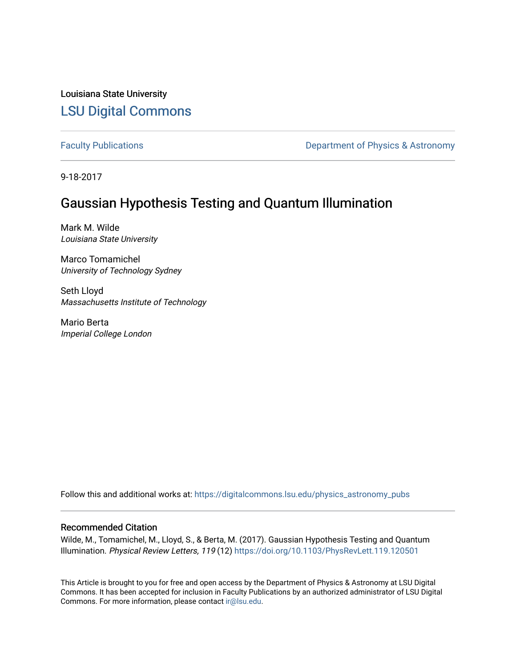Louisiana State University [LSU Digital Commons](https://digitalcommons.lsu.edu/)

[Faculty Publications](https://digitalcommons.lsu.edu/physics_astronomy_pubs) **Exercise 2 and Table 2 and Table 2 and Table 2 and Table 2 and Table 2 and Table 2 and Table 2 and Table 2 and Table 2 and Table 2 and Table 2 and Table 2 and Table 2 and Table 2 and Table 2 and Table** 

9-18-2017

### Gaussian Hypothesis Testing and Quantum Illumination

Mark M. Wilde Louisiana State University

Marco Tomamichel University of Technology Sydney

Seth Lloyd Massachusetts Institute of Technology

Mario Berta Imperial College London

Follow this and additional works at: [https://digitalcommons.lsu.edu/physics\\_astronomy\\_pubs](https://digitalcommons.lsu.edu/physics_astronomy_pubs?utm_source=digitalcommons.lsu.edu%2Fphysics_astronomy_pubs%2F5654&utm_medium=PDF&utm_campaign=PDFCoverPages) 

### Recommended Citation

Wilde, M., Tomamichel, M., Lloyd, S., & Berta, M. (2017). Gaussian Hypothesis Testing and Quantum Illumination. Physical Review Letters, 119 (12)<https://doi.org/10.1103/PhysRevLett.119.120501>

This Article is brought to you for free and open access by the Department of Physics & Astronomy at LSU Digital Commons. It has been accepted for inclusion in Faculty Publications by an authorized administrator of LSU Digital Commons. For more information, please contact [ir@lsu.edu](mailto:ir@lsu.edu).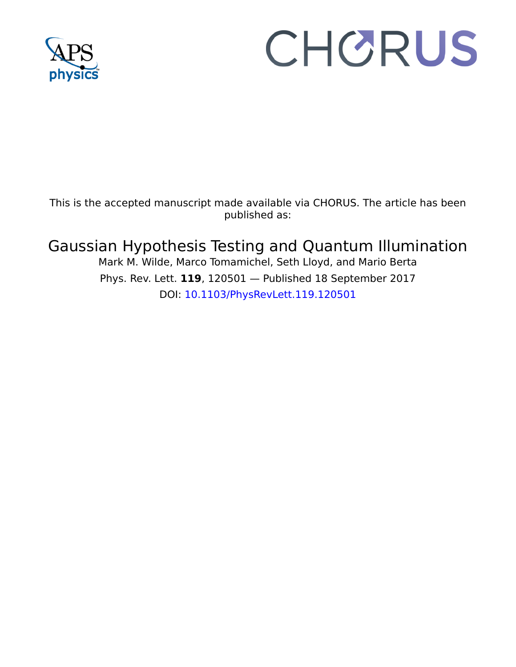

# CHORUS

This is the accepted manuscript made available via CHORUS. The article has been published as:

## Gaussian Hypothesis Testing and Quantum Illumination

Mark M. Wilde, Marco Tomamichel, Seth Lloyd, and Mario Berta Phys. Rev. Lett. **119**, 120501 — Published 18 September 2017 DOI: [10.1103/PhysRevLett.119.120501](http://dx.doi.org/10.1103/PhysRevLett.119.120501)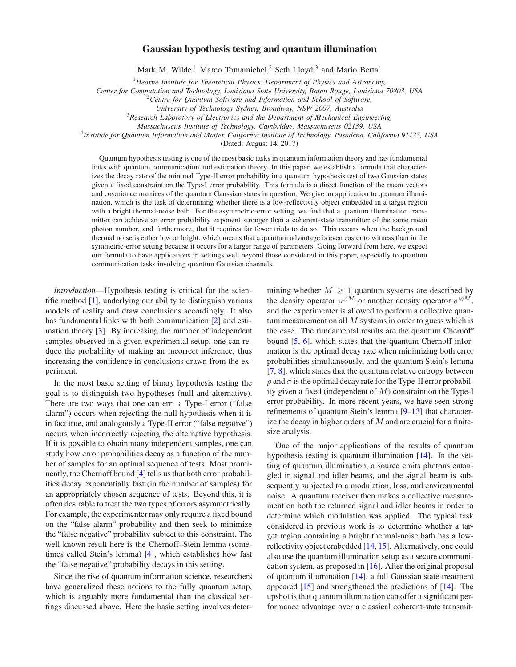#### Gaussian hypothesis testing and quantum illumination

Mark M. Wilde,<sup>1</sup> Marco Tomamichel,<sup>2</sup> Seth Lloyd,<sup>3</sup> and Mario Berta<sup>4</sup>

<sup>1</sup>*Hearne Institute for Theoretical Physics, Department of Physics and Astronomy,*

*Center for Computation and Technology, Louisiana State University, Baton Rouge, Louisiana 70803, USA*

<sup>2</sup>*Centre for Quantum Software and Information and School of Software,*

*University of Technology Sydney, Broadway, NSW 2007, Australia*

<sup>3</sup>*Research Laboratory of Electronics and the Department of Mechanical Engineering,*

*Massachusetts Institute of Technology, Cambridge, Massachusetts 02139, USA*

4 *Institute for Quantum Information and Matter, California Institute of Technology, Pasadena, California 91125, USA*

(Dated: August 14, 2017)

Quantum hypothesis testing is one of the most basic tasks in quantum information theory and has fundamental links with quantum communication and estimation theory. In this paper, we establish a formula that characterizes the decay rate of the minimal Type-II error probability in a quantum hypothesis test of two Gaussian states given a fixed constraint on the Type-I error probability. This formula is a direct function of the mean vectors and covariance matrices of the quantum Gaussian states in question. We give an application to quantum illumination, which is the task of determining whether there is a low-reflectivity object embedded in a target region with a bright thermal-noise bath. For the asymmetric-error setting, we find that a quantum illumination transmitter can achieve an error probability exponent stronger than a coherent-state transmitter of the same mean photon number, and furthermore, that it requires far fewer trials to do so. This occurs when the background thermal noise is either low or bright, which means that a quantum advantage is even easier to witness than in the symmetric-error setting because it occurs for a larger range of parameters. Going forward from here, we expect our formula to have applications in settings well beyond those considered in this paper, especially to quantum communication tasks involving quantum Gaussian channels.

*Introduction*—Hypothesis testing is critical for the scientific method [\[1\]](#page-7-0), underlying our ability to distinguish various models of reality and draw conclusions accordingly. It also has fundamental links with both communication [\[2\]](#page-7-1) and estimation theory [\[3\]](#page-7-2). By increasing the number of independent samples observed in a given experimental setup, one can reduce the probability of making an incorrect inference, thus increasing the confidence in conclusions drawn from the experiment.

In the most basic setting of binary hypothesis testing the goal is to distinguish two hypotheses (null and alternative). There are two ways that one can err: a Type-I error ("false alarm") occurs when rejecting the null hypothesis when it is in fact true, and analogously a Type-II error ("false negative") occurs when incorrectly rejecting the alternative hypothesis. If it is possible to obtain many independent samples, one can study how error probabilities decay as a function of the number of samples for an optimal sequence of tests. Most prominently, the Chernoff bound [\[4\]](#page-7-3) tells us that both error probabilities decay exponentially fast (in the number of samples) for an appropriately chosen sequence of tests. Beyond this, it is often desirable to treat the two types of errors asymmetrically. For example, the experimenter may only require a fixed bound on the "false alarm" probability and then seek to minimize the "false negative" probability subject to this constraint. The well known result here is the Chernoff–Stein lemma (sometimes called Stein's lemma) [\[4\]](#page-7-3), which establishes how fast the "false negative" probability decays in this setting.

Since the rise of quantum information science, researchers have generalized these notions to the fully quantum setup, which is arguably more fundamental than the classical settings discussed above. Here the basic setting involves determining whether  $M \geq 1$  quantum systems are described by the density operator  $\rho^{\otimes M}$  or another density operator  $\sigma^{\otimes M}$ , and the experimenter is allowed to perform a collective quantum measurement on all M systems in order to guess which is the case. The fundamental results are the quantum Chernoff bound [\[5,](#page-7-4) [6\]](#page-7-5), which states that the quantum Chernoff information is the optimal decay rate when minimizing both error probabilities simultaneously, and the quantum Stein's lemma [\[7](#page-7-6), [8](#page-7-7)], which states that the quantum relative entropy between  $\rho$  and  $\sigma$  is the optimal decay rate for the Type-II error probability given a fixed (independent of M) constraint on the Type-I error probability. In more recent years, we have seen strong refinements of quantum Stein's lemma [\[9–](#page-7-8)[13\]](#page-7-9) that characterize the decay in higher orders of  $M$  and are crucial for a finitesize analysis.

One of the major applications of the results of quantum hypothesis testing is quantum illumination [\[14\]](#page-7-10). In the setting of quantum illumination, a source emits photons entangled in signal and idler beams, and the signal beam is subsequently subjected to a modulation, loss, and environmental noise. A quantum receiver then makes a collective measurement on both the returned signal and idler beams in order to determine which modulation was applied. The typical task considered in previous work is to determine whether a target region containing a bright thermal-noise bath has a lowreflectivity object embedded [\[14,](#page-7-10) [15\]](#page-7-11). Alternatively, one could also use the quantum illumination setup as a secure communication system, as proposed in [\[16](#page-7-12)]. After the original proposal of quantum illumination [\[14\]](#page-7-10), a full Gaussian state treatment appeared [\[15\]](#page-7-11) and strengthened the predictions of [\[14\]](#page-7-10). The upshot is that quantum illumination can offer a significant performance advantage over a classical coherent-state transmit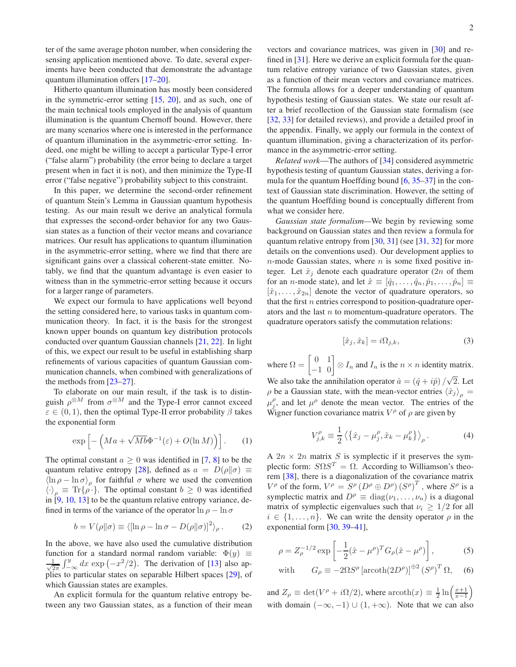ter of the same average photon number, when considering the sensing application mentioned above. To date, several experiments have been conducted that demonstrate the advantage quantum illumination offers [\[17](#page-7-13)[–20](#page-7-14)].

Hitherto quantum illumination has mostly been considered in the symmetric-error setting [\[15,](#page-7-11) [20\]](#page-7-14), and as such, one of the main technical tools employed in the analysis of quantum illumination is the quantum Chernoff bound. However, there are many scenarios where one is interested in the performance of quantum illumination in the asymmetric-error setting. Indeed, one might be willing to accept a particular Type-I error ("false alarm") probability (the error being to declare a target present when in fact it is not), and then minimize the Type-II error ("false negative") probability subject to this constraint.

In this paper, we determine the second-order refinement of quantum Stein's Lemma in Gaussian quantum hypothesis testing. As our main result we derive an analytical formula that expresses the second-order behavior for any two Gaussian states as a function of their vector means and covariance matrices. Our result has applications to quantum illumination in the asymmetric-error setting, where we find that there are significant gains over a classical coherent-state emitter. Notably, we find that the quantum advantage is even easier to witness than in the symmetric-error setting because it occurs for a larger range of parameters.

We expect our formula to have applications well beyond the setting considered here, to various tasks in quantum communication theory. In fact, it is the basis for the strongest known upper bounds on quantum key distribution protocols conducted over quantum Gaussian channels [\[21](#page-7-15), [22\]](#page-7-16). In light of this, we expect our result to be useful in establishing sharp refinements of various capacities of quantum Gaussian communication channels, when combined with generalizations of the methods from [\[23](#page-7-17)[–27](#page-7-18)].

To elaborate on our main result, if the task is to distinguish  $\rho^{\otimes M}$  from  $\sigma^{\otimes M}$  and the Type-I error cannot exceed  $\varepsilon \in (0, 1)$ , then the optimal Type-II error probability  $\beta$  takes the exponential form

<span id="page-3-5"></span>
$$
\exp\left[-\left(Ma + \sqrt{Mb}\Phi^{-1}(\varepsilon) + O(\ln M)\right)\right].\tag{1}
$$

The optimal constant  $a > 0$  was identified in [\[7,](#page-7-6) [8\]](#page-7-7) to be the quantum relative entropy [\[28\]](#page-7-19), defined as  $a = D(\rho||\sigma) \equiv$  $\langle \ln \rho - \ln \sigma \rangle_{\rho}$  for faithful  $\sigma$  where we used the convention  $\langle \cdot \rangle_{\rho} \equiv \text{Tr} \{ \rho \cdot \}.$  The optimal constant  $b \geq 0$  was identified in [\[9,](#page-7-8) [10,](#page-7-20) [13\]](#page-7-9) to be the quantum relative entropy variance, defined in terms of the variance of the operator  $\ln \rho - \ln \sigma$ 

<span id="page-3-1"></span>
$$
b = V(\rho || \sigma) \equiv \langle [\ln \rho - \ln \sigma - D(\rho || \sigma)]^2 \rangle_{\rho}.
$$
 (2)

In the above, we have also used the cumulative distribution function for a standard normal random variable:  $\Phi(y) \equiv$  $\frac{1}{\sqrt{2}}$  $\frac{1}{2\pi} \int_{-\infty}^{y} dx \exp(-x^2/2)$ . The derivation of [\[13\]](#page-7-9) also ap-plies to particular states on separable Hilbert spaces [\[29\]](#page-7-21), of which Gaussian states are examples.

An explicit formula for the quantum relative entropy between any two Gaussian states, as a function of their mean vectors and covariance matrices, was given in [\[30\]](#page-7-22) and re-fined in [\[31\]](#page-7-23). Here we derive an explicit formula for the quantum relative entropy variance of two Gaussian states, given as a function of their mean vectors and covariance matrices. The formula allows for a deeper understanding of quantum hypothesis testing of Gaussian states. We state our result after a brief recollection of the Gaussian state formalism (see [\[32](#page-7-24), [33](#page-7-25)] for detailed reviews), and provide a detailed proof in the appendix. Finally, we apply our formula in the context of quantum illumination, giving a characterization of its performance in the asymmetric-error setting.

*Related work*—The authors of [\[34](#page-7-26)] considered asymmetric hypothesis testing of quantum Gaussian states, deriving a formula for the quantum Hoeffding bound [\[6](#page-7-5), [35](#page-7-27)[–37\]](#page-8-0) in the context of Gaussian state discrimination. However, the setting of the quantum Hoeffding bound is conceptually different from what we consider here.

*Gaussian state formalism—*We begin by reviewing some background on Gaussian states and then review a formula for quantum relative entropy from [\[30](#page-7-22), [31](#page-7-23)] (see [\[31,](#page-7-23) [32\]](#page-7-24) for more details on the conventions used). Our development applies to  $n$ -mode Gaussian states, where  $n$  is some fixed positive integer. Let  $\hat{x}_j$  denote each quadrature operator (2n of them for an *n*-mode state), and let  $\hat{x} \equiv [\hat{q}_1, \ldots, \hat{q}_n, \hat{p}_1, \ldots, \hat{p}_n] \equiv$  $[\hat{x}_1, \ldots, \hat{x}_{2n}]$  denote the vector of quadrature operators, so that the first  $n$  entries correspond to position-quadrature operators and the last  $n$  to momentum-quadrature operators. The quadrature operators satisfy the commutation relations:

<span id="page-3-3"></span>
$$
[\hat{x}_j, \hat{x}_k] = i\Omega_{j,k},\tag{3}
$$

where  $\Omega = \begin{bmatrix} 0 & 1 \\ -1 & 0 \end{bmatrix} \otimes I_n$  and  $I_n$  is the  $n \times n$  identity matrix. We also take the annihilation operator  $\hat{a} = (\hat{q} + i\hat{p}) / \sqrt{2}$ . Let  $\rho$  be a Gaussian state, with the mean-vector entries  $\langle \hat{x}_j \rangle_\rho =$  $\mu_j^{\rho}$ , and let  $\mu^{\rho}$  denote the mean vector. The entries of the Wigner function covariance matrix  $V^{\rho}$  of  $\rho$  are given by

<span id="page-3-4"></span>
$$
V_{j,k}^{\rho} \equiv \frac{1}{2} \left\langle \left\{ \hat{x}_j - \mu_j^{\rho}, \hat{x}_k - \mu_k^{\rho} \right\} \right\rangle_{\rho}.
$$
 (4)

A  $2n \times 2n$  matrix S is symplectic if it preserves the symplectic form:  $S\Omega S^{T} = \Omega$ . According to Williamson's theorem [\[38\]](#page-8-1), there is a diagonalization of the covariance matrix  $V^{\rho}$  of the form,  $V^{\rho} = S^{\rho} (D^{\rho} \oplus D^{\rho}) (S^{\rho})^T$ , where  $S^{\rho}$  is a symplectic matrix and  $D^{\rho} \equiv \text{diag}(\nu_1, \dots, \nu_n)$  is a diagonal matrix of symplectic eigenvalues such that  $\nu_i \geq 1/2$  for all  $i \in \{1, \ldots, n\}$ . We can write the density operator  $\rho$  in the exponential form [\[30,](#page-7-22) [39](#page-8-2)[–41\]](#page-8-3),

<span id="page-3-0"></span>
$$
\rho = Z_{\rho}^{-1/2} \exp\left[ -\frac{1}{2} (\hat{x} - \mu^{\rho})^T G_{\rho} (\hat{x} - \mu^{\rho}) \right],
$$
 (5)

<span id="page-3-2"></span>with 
$$
G_{\rho} \equiv -2\Omega S^{\rho} \left[ \operatorname{arcoth}(2D^{\rho}) \right]^{\oplus 2} \left( S^{\rho} \right)^{T} \Omega,
$$
 (6)

and  $Z_{\rho} \equiv \det(V^{\rho} + i\Omega/2)$ , where  $\operatorname{arcoth}(x) \equiv \frac{1}{2} \ln \left( \frac{x+1}{x-1} \right)$  $\setminus$ with domain  $(-\infty, -1) \cup (1, +\infty)$ . Note that we can also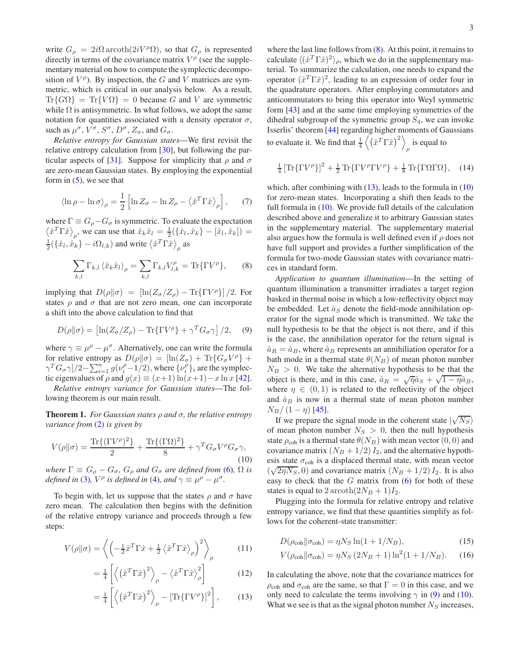write  $G_{\rho} = 2i\Omega \operatorname{arcoth}(2iV^{\rho}\Omega)$ , so that  $G_{\rho}$  is represented directly in terms of the covariance matrix  $V^{\rho}$  (see the supplementary material on how to compute the symplectic decomposition of  $V^{\rho}$ ). By inspection, the G and V matrices are symmetric, which is critical in our analysis below. As a result,  $Tr{G\Omega} = Tr{V\Omega} = 0$  because G and V are symmetric while  $\Omega$  is antisymmetric. In what follows, we adopt the same notation for quantities associated with a density operator  $\sigma$ , such as  $\mu^{\sigma}$ ,  $V^{\sigma}$ ,  $S^{\sigma}$ ,  $D^{\sigma}$ ,  $Z_{\sigma}$ , and  $G_{\sigma}$ .

*Relative entropy for Gaussian states*—We first revisit the relative entropy calculation from [\[30](#page-7-22)], but following the par-ticular aspects of [\[31\]](#page-7-23). Suppose for simplicity that  $\rho$  and  $\sigma$ are zero-mean Gaussian states. By employing the exponential form in  $(5)$ , we see that

$$
\langle \ln \rho - \ln \sigma \rangle_{\rho} = \frac{1}{2} \left[ \ln Z_{\sigma} - \ln Z_{\rho} - \langle \hat{x}^T \Gamma \hat{x} \rangle_{\rho} \right], \qquad (7)
$$

where  $\Gamma \equiv G_{\rho} - G_{\sigma}$  is symmetric. To evaluate the expectation  $\left\langle \hat{x}^T \Gamma \hat{x} \right\rangle_{\rho}$ , we can use that  $\hat{x}_k \hat{x}_l = \frac{1}{2} (\{\hat{x}_l, \hat{x}_k\} - [\hat{x}_l, \hat{x}_k]) =$  $\frac{1}{2}(\{\hat{x}_l,\hat{x}_k\}-i\Omega_{l,k})$  and write  $\langle \hat{x}^T\Gamma \hat{x} \rangle_\rho$  as

<span id="page-4-0"></span>
$$
\sum_{k,l} \Gamma_{k,l} \langle \hat{x}_k \hat{x}_l \rangle_\rho = \sum_{k,l} \Gamma_{k,l} V_{l,k}^\rho = \text{Tr} \{ \Gamma V^\rho \}, \qquad (8)
$$

implying that  $D(\rho||\sigma) = [\ln(Z_{\sigma}/Z_{\rho}) - \text{Tr}\{\Gamma V^{\rho}\}]/2$ . For states  $\rho$  and  $\sigma$  that are not zero mean, one can incorporate a shift into the above calculation to find that

<span id="page-4-3"></span>
$$
D(\rho||\sigma) = \left[\ln(Z_{\sigma}/Z_{\rho}) - \text{Tr}\{\Gamma V^{\rho}\} + \gamma^{T} G_{\sigma}\gamma\right]/2, \quad (9)
$$

where  $\gamma \equiv \mu^{\rho} - \mu^{\sigma}$ . Alternatively, one can write the formula for relative entropy as  $D(\rho||\sigma) = [\ln(Z_{\sigma}) + \text{Tr}\{G_{\sigma}V^{\rho}\} +$  $\gamma^T G_{\sigma} \gamma$  | /2 –  $\sum_{i=1}^n g(\nu_i^{\rho} - 1/2)$ , where  $\{\nu_i^{\rho}\}_i$  are the symplectic eigenvalues of  $\rho$  and  $g(x) \equiv (x+1) \ln(x+1) - x \ln x$  [\[42](#page-8-4)].

*Relative entropy variance for Gaussian states*—The following theorem is our main result.

Theorem 1. *For Gaussian states* ρ *and* σ*, the relative entropy variance from* [\(2\)](#page-3-1) *is given by*

<span id="page-4-2"></span>
$$
V(\rho||\sigma) = \frac{\text{Tr}\{(\Gamma V^{\rho})^2\}}{2} + \frac{\text{Tr}\{(\Gamma \Omega)^2\}}{8} + \gamma^T G_{\sigma} V^{\rho} G_{\sigma} \gamma,
$$
\n(10)

*where*  $\Gamma \equiv G_{\rho} - G_{\sigma}$ ,  $G_{\rho}$  *and*  $G_{\sigma}$  *are defined from* [\(6\)](#page-3-2),  $\Omega$  *is defined in* [\(3\)](#page-3-3),  $V^{\rho}$  *is defined in* [\(4\)](#page-3-4)*, and*  $\gamma \equiv \mu^{\rho} - \mu^{\sigma}$ *.* 

To begin with, let us suppose that the states  $\rho$  and  $\sigma$  have zero mean. The calculation then begins with the definition of the relative entropy variance and proceeds through a few steps:

$$
V(\rho \| \sigma) = \left\langle \left( -\frac{1}{2} \hat{x}^T \Gamma \hat{x} + \frac{1}{2} \left\langle \hat{x}^T \Gamma \hat{x} \right\rangle_{\rho} \right)^2 \right\rangle_{\rho} \tag{11}
$$

$$
= \frac{1}{4} \left[ \left\langle \left( \hat{x}^T \Gamma \hat{x} \right)^2 \right\rangle_{\rho} - \left\langle \hat{x}^T \Gamma \hat{x} \right\rangle_{\rho}^2 \right] \tag{12}
$$

$$
= \frac{1}{4} \left[ \left\langle \left( \hat{x}^T \Gamma \hat{x} \right)^2 \right\rangle_{\rho} - \left[ \text{Tr} \{ \Gamma V^{\rho} \} \right]^2 \right], \tag{13}
$$

where the last line follows from  $(8)$ . At this point, it remains to calculate  $\langle (\hat{x}^T \Gamma \hat{x})^2 \rangle_{\rho}$ , which we do in the supplementary material. To summarize the calculation, one needs to expand the operator  $(\hat{x}^T \Gamma \hat{x})^2$ , leading to an expression of order four in the quadrature operators. After employing commutators and anticommutators to bring this operator into Weyl symmetric form [\[43\]](#page-8-5) and at the same time employing symmetries of the dihedral subgroup of the symmetric group  $S_4$ , we can invoke Isserlis' theorem [\[44](#page-8-6)] regarding higher moments of Gaussians to evaluate it. We find that  $\frac{1}{4}\left\langle \left( \hat{x}^T \Gamma \hat{x} \right)^2 \right\rangle$ is equal to  $\rho$ 

$$
\frac{1}{4} \left[ \text{Tr} \{ \Gamma V^{\rho} \} \right]^2 + \frac{1}{2} \text{Tr} \{ \Gamma V^{\rho} \Gamma V^{\rho} \} + \frac{1}{8} \text{Tr} \{ \Gamma \Omega \Gamma \Omega \}, \quad (14)
$$

which, after combining with  $(13)$ , leads to the formula in  $(10)$ for zero-mean states. Incorporating a shift then leads to the full formula in [\(10\)](#page-4-2). We provide full details of the calculation described above and generalize it to arbitrary Gaussian states in the supplementary material. The supplementary material also argues how the formula is well defined even if  $\rho$  does not have full support and provides a further simplification of the formula for two-mode Gaussian states with covariance matrices in standard form.

*Application to quantum illumination*—In the setting of quantum illumination a transmitter irradiates a target region basked in thermal noise in which a low-reflectivity object may be embedded. Let  $\hat{a}_S$  denote the field-mode annihilation operator for the signal mode which is transmitted. We take the null hypothesis to be that the object is not there, and if this is the case, the annihilation operator for the return signal is  $\hat{a}_R = \hat{a}_B$ , where  $\hat{a}_B$  represents an annihiliation operator for a bath mode in a thermal state  $\theta(N_B)$  of mean photon number  $N_B > 0$ . We take the alternative hypothesis to be that the object is there, and in this case,  $\hat{a}_R = \sqrt{\eta} \hat{a}_S + \sqrt{1 - \eta} \hat{a}_B$ , where  $\eta \in (0,1)$  is related to the reflectivity of the object and  $\hat{a}_B$  is now in a thermal state of mean photon number  $N_B/(1-\eta)$  [\[45\]](#page-8-7).

If we prepare the signal mode in the coherent state  $|\sqrt{N_S}\rangle$ of mean photon number  $N_S > 0$ , then the null hypothesis state  $\rho_{\rm coh}$  is a thermal state  $\theta(N_B)$  with mean vector  $(0, 0)$  and covariance matrix  $(N_B + 1/2) I_2$ , and the alternative hypothesis state  $\sigma_{\rm coh}$  is a displaced thermal state, with mean vector  $(\sqrt{2\eta N_S}, 0)$  and covariance matrix  $(N_B + 1/2) I_2$ . It is also easy to check that the  $G$  matrix from  $(6)$  for both of these states is equal to  $2 \operatorname{arcoth}(2N_B + 1)I_2$ .

Plugging into the formula for relative entropy and relative entropy variance, we find that these quantities simplify as follows for the coherent-state transmitter:

$$
D(\rho_{\rm coh}||\sigma_{\rm coh}) = \eta N_S \ln(1 + 1/N_B),\tag{15}
$$

$$
V(\rho_{\rm coh}||\sigma_{\rm coh}) = \eta N_S (2N_B + 1) \ln^2(1 + 1/N_B). \tag{16}
$$

<span id="page-4-1"></span>In calculating the above, note that the covariance matrices for  $\rho_{\rm coh}$  and  $\sigma_{\rm coh}$  are the same, so that  $\Gamma = 0$  in this case, and we only need to calculate the terms involving  $\gamma$  in [\(9\)](#page-4-3) and [\(10\)](#page-4-2). What we see is that as the signal photon number  $N<sub>S</sub>$  increases,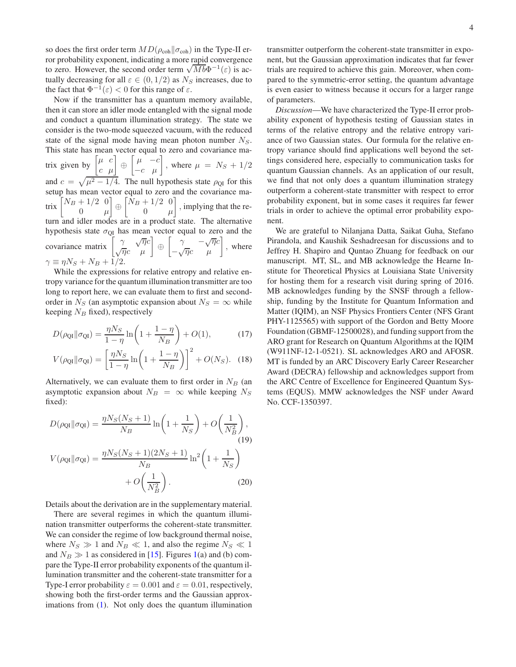so does the first order term  $MD(\rho_{coh}|| \sigma_{coh})$  in the Type-II error probability exponent, indicating a more rapid convergence to zero. However, the second order term  $\sqrt{Mb\Phi^{-1}(\varepsilon)}$  is actually decreasing for all  $\varepsilon \in (0, 1/2)$  as  $N<sub>S</sub>$  increases, due to the fact that  $\Phi^{-1}(\varepsilon) < 0$  for this range of  $\varepsilon$ .

Now if the transmitter has a quantum memory available, then it can store an idler mode entangled with the signal mode and conduct a quantum illumination strategy. The state we consider is the two-mode squeezed vacuum, with the reduced state of the signal mode having mean photon number  $N<sub>S</sub>$ . This state has mean vector equal to zero and covariance matrix given by  $\begin{bmatrix} \mu & c \\ c & \mu \end{bmatrix} \oplus$  $\begin{bmatrix} \mu & -c \\ -c & \mu \end{bmatrix}$ , where  $\mu = N_S + 1/2$ and  $c = \sqrt{\mu^2 - 1/4}$ . The null hypothesis state  $\rho_{\text{QI}}$  for this setup has mean vector equal to zero and the covariance matrix  $N_B + 1/2$  0 0  $\mu$ 1 ⊕  $\left[N_B+1/2 \ 0\right]$ 0  $\mu$ , implying that the return and idler modes are in a product state. The alternative hypothesis state  $\sigma_{QI}$  has mean vector equal to zero and the covariance matrix  $\left[\begin{array}{cc} \gamma & \sqrt{\eta}c \end{array}\right]$  $\left[ \begin{smallmatrix} \gamma & \sqrt{\eta} c \ \sqrt{\eta} c & \mu \end{smallmatrix} \right] \, \oplus \,$  $\int \gamma \psi$   $-\sqrt{\eta}c$  $\left[\begin{matrix} \gamma & -\sqrt{\eta}c \\ -\sqrt{\eta}c & \mu \end{matrix}\right]$ , where  $\gamma \equiv \eta N_S + N_B + 1/2.$ 

While the expressions for relative entropy and relative entropy variance for the quantum illumination transmitter are too long to report here, we can evaluate them to first and secondorder in  $N_S$  (an asymptotic expansion about  $N_S = \infty$  while keeping  $N_B$  fixed), respectively

$$
D(\rho_{\text{QI}}||\sigma_{\text{QI}}) = \frac{\eta N_S}{1 - \eta} \ln\left(1 + \frac{1 - \eta}{N_B}\right) + O(1),\tag{17}
$$

$$
V(\rho_{\text{QI}}||\sigma_{\text{QI}}) = \left[\frac{\eta N_S}{1-\eta} \ln\left(1 + \frac{1-\eta}{N_B}\right)\right]^2 + O(N_S). \quad (18)
$$

Alternatively, we can evaluate them to first order in  $N_B$  (an asymptotic expansion about  $N_B = \infty$  while keeping  $N_S$ fixed):

$$
D(\rho_{\text{QI}}||\sigma_{\text{QI}}) = \frac{\eta N_S (N_S + 1)}{N_B} \ln\left(1 + \frac{1}{N_S}\right) + O\left(\frac{1}{N_B^2}\right),\tag{19}
$$

$$
V(\rho_{\text{QI}}||\sigma_{\text{QI}}) = \frac{\eta N_S (N_S + 1)(2N_S + 1)}{N_B} \ln^2\left(1 + \frac{1}{N_S}\right)
$$

$$
+ O\left(\frac{1}{N_B^2}\right).
$$
(20)

Details about the derivation are in the supplementary material.

There are several regimes in which the quantum illumination transmitter outperforms the coherent-state transmitter. We can consider the regime of low background thermal noise, where  $N_S \gg 1$  and  $N_B \ll 1$ , and also the regime  $N_S \ll 1$ and  $N_B \gg 1$  as considered in [\[15](#page-7-11)]. Figures [1\(](#page-6-0)a) and (b) compare the Type-II error probability exponents of the quantum illumination transmitter and the coherent-state transmitter for a Type-I error probability  $\varepsilon = 0.001$  and  $\varepsilon = 0.01$ , respectively, showing both the first-order terms and the Gaussian approximations from [\(1\)](#page-3-5). Not only does the quantum illumination

transmitter outperform the coherent-state transmitter in exponent, but the Gaussian approximation indicates that far fewer trials are required to achieve this gain. Moreover, when compared to the symmetric-error setting, the quantum advantage is even easier to witness because it occurs for a larger range of parameters.

*Discussion*—We have characterized the Type-II error probability exponent of hypothesis testing of Gaussian states in terms of the relative entropy and the relative entropy variance of two Gaussian states. Our formula for the relative entropy variance should find applications well beyond the settings considered here, especially to communication tasks for quantum Gaussian channels. As an application of our result, we find that not only does a quantum illumination strategy outperform a coherent-state transmitter with respect to error probability exponent, but in some cases it requires far fewer trials in order to achieve the optimal error probability exponent.

We are grateful to Nilanjana Datta, Saikat Guha, Stefano Pirandola, and Kaushik Seshadreesan for discussions and to Jeffrey H. Shapiro and Quntao Zhuang for feedback on our manuscript. MT, SL, and MB acknowledge the Hearne Institute for Theoretical Physics at Louisiana State University for hosting them for a research visit during spring of 2016. MB acknowledges funding by the SNSF through a fellowship, funding by the Institute for Quantum Information and Matter (IQIM), an NSF Physics Frontiers Center (NFS Grant PHY-1125565) with support of the Gordon and Betty Moore Foundation (GBMF-12500028), and funding support from the ARO grant for Research on Quantum Algorithms at the IQIM (W911NF-12-1-0521). SL acknowledges ARO and AFOSR. MT is funded by an ARC Discovery Early Career Researcher Award (DECRA) fellowship and acknowledges support from the ARC Centre of Excellence for Engineered Quantum Systems (EQUS). MMW acknowledges the NSF under Award No. CCF-1350397.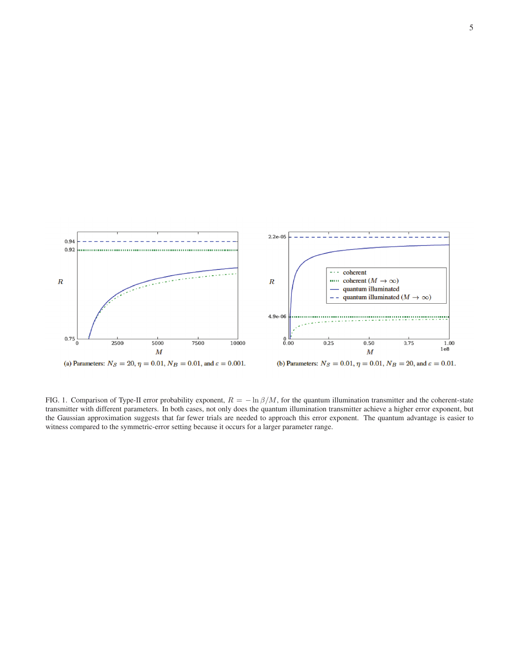

<span id="page-6-0"></span>FIG. 1. Comparison of Type-II error probability exponent,  $R = -\ln \beta/M$ , for the quantum illumination transmitter and the coherent-state transmitter with different parameters. In both cases, not only does the quantum illumination transmitter achieve a higher error exponent, but the Gaussian approximation suggests that far fewer trials are needed to approach this error exponent. The quantum advantage is easier to witness compared to the symmetric-error setting because it occurs for a larger parameter range.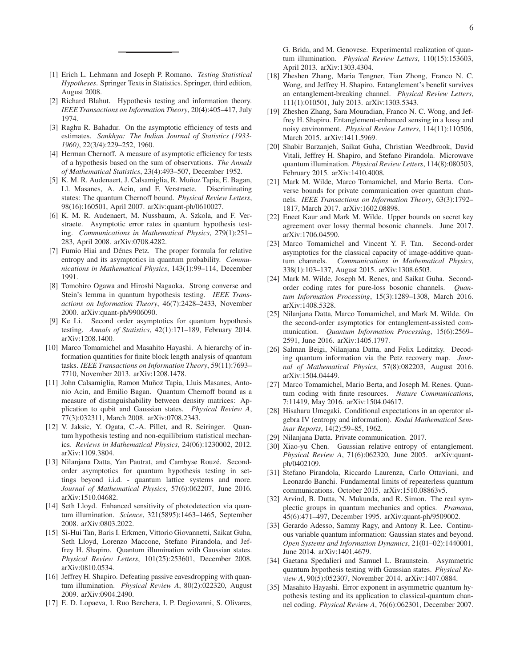- <span id="page-7-0"></span>[1] Erich L. Lehmann and Joseph P. Romano. *Testing Statistical Hypotheses*. Springer Texts in Statistics. Springer, third edition, August 2008.
- <span id="page-7-1"></span>[2] Richard Blahut. Hypothesis testing and information theory. *IEEE Transactions on Information Theory*, 20(4):405–417, July 1974.
- <span id="page-7-2"></span>[3] Raghu R. Bahadur. On the asymptotic efficiency of tests and estimates. *Sankhya: The Indian Journal of Statistics (1933- 1960)*, 22(3/4):229–252, 1960.
- <span id="page-7-3"></span>[4] Herman Chernoff. A measure of asymptotic efficiency for tests of a hypothesis based on the sum of observations. *The Annals of Mathematical Statistics*, 23(4):493–507, December 1952.
- <span id="page-7-4"></span>[5] K. M. R. Audenaert, J. Calsamiglia, R. Muñoz Tapia, E. Bagan, Ll. Masanes, A. Acin, and F. Verstraete. Discriminating states: The quantum Chernoff bound. *Physical Review Letters*, 98(16):160501, April 2007. arXiv:quant-ph/0610027.
- <span id="page-7-5"></span>[6] K. M. R. Audenaert, M. Nussbaum, A. Szkola, and F. Verstraete. Asymptotic error rates in quantum hypothesis testing. *Communications in Mathematical Physics*, 279(1):251– 283, April 2008. arXiv:0708.4282.
- <span id="page-7-6"></span>[7] Fumio Hiai and Dénes Petz. The proper formula for relative entropy and its asymptotics in quantum probability. *Communications in Mathematical Physics*, 143(1):99–114, December 1991.
- <span id="page-7-7"></span>[8] Tomohiro Ogawa and Hiroshi Nagaoka. Strong converse and Stein's lemma in quantum hypothesis testing. *IEEE Transactions on Information Theory*, 46(7):2428–2433, November 2000. arXiv:quant-ph/9906090.
- <span id="page-7-8"></span>[9] Ke Li. Second order asymptotics for quantum hypothesis testing. *Annals of Statistics*, 42(1):171–189, February 2014. arXiv:1208.1400.
- <span id="page-7-20"></span>[10] Marco Tomamichel and Masahito Hayashi. A hierarchy of information quantities for finite block length analysis of quantum tasks. *IEEE Transactions on Information Theory*, 59(11):7693– 7710, November 2013. arXiv:1208.1478.
- [11] John Calsamiglia, Ramon Muñoz Tapia, Lluis Masanes, Antonio Acin, and Emilio Bagan. Quantum Chernoff bound as a measure of distinguishability between density matrices: Application to qubit and Gaussian states. *Physical Review A*, 77(3):032311, March 2008. arXiv:0708.2343.
- [12] V. Jaksic, Y. Ogata, C.-A. Pillet, and R. Seiringer. Quantum hypothesis testing and non-equilibrium statistical mechanics. *Reviews in Mathematical Physics*, 24(06):1230002, 2012. arXiv:1109.3804.
- <span id="page-7-9"></span>[13] Nilanjana Datta, Yan Pautrat, and Cambyse Rouzé. Secondorder asymptotics for quantum hypothesis testing in settings beyond i.i.d. - quantum lattice systems and more. *Journal of Mathematical Physics*, 57(6):062207, June 2016. arXiv:1510.04682.
- <span id="page-7-10"></span>[14] Seth Lloyd. Enhanced sensitivity of photodetection via quantum illumination. *Science*, 321(5895):1463–1465, September 2008. arXiv:0803.2022.
- <span id="page-7-11"></span>[15] Si-Hui Tan, Baris I. Erkmen, Vittorio Giovannetti, Saikat Guha, Seth Lloyd, Lorenzo Maccone, Stefano Pirandola, and Jeffrey H. Shapiro. Quantum illumination with Gaussian states. *Physical Review Letters*, 101(25):253601, December 2008. arXiv:0810.0534.
- <span id="page-7-12"></span>[16] Jeffrey H. Shapiro. Defeating passive eavesdropping with quantum illumination. *Physical Review A*, 80(2):022320, August 2009. arXiv:0904.2490.
- <span id="page-7-13"></span>[17] E. D. Lopaeva, I. Ruo Berchera, I. P. Degiovanni, S. Olivares,

G. Brida, and M. Genovese. Experimental realization of quantum illumination. *Physical Review Letters*, 110(15):153603, April 2013. arXiv:1303.4304.

- [18] Zheshen Zhang, Maria Tengner, Tian Zhong, Franco N. C. Wong, and Jeffrey H. Shapiro. Entanglement's benefit survives an entanglement-breaking channel. *Physical Review Letters*, 111(1):010501, July 2013. arXiv:1303.5343.
- [19] Zheshen Zhang, Sara Mouradian, Franco N. C. Wong, and Jeffrey H. Shapiro. Entanglement-enhanced sensing in a lossy and noisy environment. *Physical Review Letters*, 114(11):110506, March 2015. arXiv:1411.5969.
- <span id="page-7-14"></span>[20] Shabir Barzanjeh, Saikat Guha, Christian Weedbrook, David Vitali, Jeffrey H. Shapiro, and Stefano Pirandola. Microwave quantum illumination. *Physical Review Letters*, 114(8):080503, February 2015. arXiv:1410.4008.
- <span id="page-7-15"></span>[21] Mark M. Wilde, Marco Tomamichel, and Mario Berta. Converse bounds for private communication over quantum channels. *IEEE Transactions on Information Theory*, 63(3):1792– 1817, March 2017. arXiv:1602.08898.
- <span id="page-7-16"></span>[22] Eneet Kaur and Mark M. Wilde. Upper bounds on secret key agreement over lossy thermal bosonic channels. June 2017. arXiv:1706.04590.
- <span id="page-7-17"></span>[23] Marco Tomamichel and Vincent Y. F. Tan. Second-order asymptotics for the classical capacity of image-additive quantum channels. *Communications in Mathematical Physics*, 338(1):103–137, August 2015. arXiv:1308.6503.
- [24] Mark M. Wilde, Joseph M. Renes, and Saikat Guha. Secondorder coding rates for pure-loss bosonic channels. *Quantum Information Processing*, 15(3):1289–1308, March 2016. arXiv:1408.5328.
- [25] Nilanjana Datta, Marco Tomamichel, and Mark M. Wilde. On the second-order asymptotics for entanglement-assisted communication. *Quantum Information Processing*, 15(6):2569– 2591, June 2016. arXiv:1405.1797.
- [26] Salman Beigi, Nilanjana Datta, and Felix Leditzky. Decoding quantum information via the Petz recovery map. *Journal of Mathematical Physics*, 57(8):082203, August 2016. arXiv:1504.04449.
- <span id="page-7-18"></span>[27] Marco Tomamichel, Mario Berta, and Joseph M. Renes. Quantum coding with finite resources. *Nature Communications*, 7:11419, May 2016. arXiv:1504.04617.
- <span id="page-7-19"></span>[28] Hisaharu Umegaki. Conditional expectations in an operator algebra IV (entropy and information). *Kodai Mathematical Seminar Reports*, 14(2):59–85, 1962.
- <span id="page-7-21"></span>[29] Nilanjana Datta. Private communication. 2017.
- <span id="page-7-22"></span>[30] Xiao-yu Chen. Gaussian relative entropy of entanglement. *Physical Review A*, 71(6):062320, June 2005. arXiv:quantph/0402109.
- <span id="page-7-23"></span>[31] Stefano Pirandola, Riccardo Laurenza, Carlo Ottaviani, and Leonardo Banchi. Fundamental limits of repeaterless quantum communications. October 2015. arXiv:1510.08863v5.
- <span id="page-7-24"></span>[32] Arvind, B. Dutta, N. Mukunda, and R. Simon. The real symplectic groups in quantum mechanics and optics. *Pramana*, 45(6):471–497, December 1995. arXiv:quant-ph/9509002.
- <span id="page-7-25"></span>[33] Gerardo Adesso, Sammy Ragy, and Antony R. Lee. Continuous variable quantum information: Gaussian states and beyond. *Open Systems and Information Dynamics*, 21(01–02):1440001, June 2014. arXiv:1401.4679.
- <span id="page-7-26"></span>[34] Gaetana Spedalieri and Samuel L. Braunstein. Asymmetric quantum hypothesis testing with Gaussian states. *Physical Review A*, 90(5):052307, November 2014. arXiv:1407.0884.
- <span id="page-7-27"></span>[35] Masahito Hayashi. Error exponent in asymmetric quantum hypothesis testing and its application to classical-quantum channel coding. *Physical Review A*, 76(6):062301, December 2007.